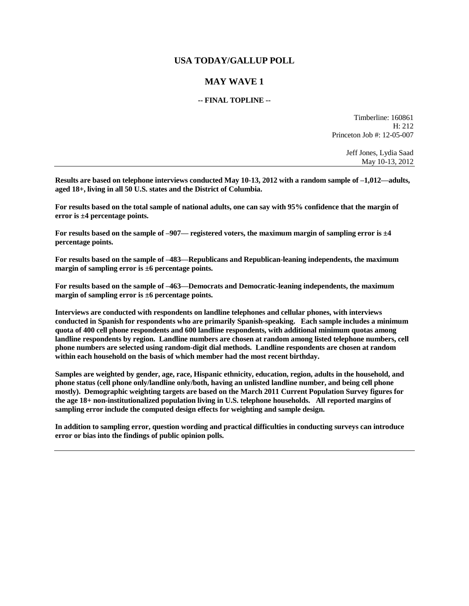# **USA TODAY/GALLUP POLL**

# **MAY WAVE 1**

## **-- FINAL TOPLINE --**

Timberline: 160861 H: 212 Princeton Job #: 12-05-007

> Jeff Jones, Lydia Saad May 10-13, 2012

**Results are based on telephone interviews conducted May 10-13, 2012 with a random sample of –1,012—adults, aged 18+, living in all 50 U.S. states and the District of Columbia.** 

**For results based on the total sample of national adults, one can say with 95% confidence that the margin of error is ±4 percentage points.**

**For results based on the sample of –907— registered voters, the maximum margin of sampling error is ±4 percentage points.**

**For results based on the sample of –483—Republicans and Republican-leaning independents, the maximum margin of sampling error is ±6 percentage points.**

**For results based on the sample of –463—Democrats and Democratic-leaning independents, the maximum margin of sampling error is ±6 percentage points.**

**Interviews are conducted with respondents on landline telephones and cellular phones, with interviews conducted in Spanish for respondents who are primarily Spanish-speaking. Each sample includes a minimum quota of 400 cell phone respondents and 600 landline respondents, with additional minimum quotas among landline respondents by region. Landline numbers are chosen at random among listed telephone numbers, cell phone numbers are selected using random-digit dial methods. Landline respondents are chosen at random within each household on the basis of which member had the most recent birthday.** 

**Samples are weighted by gender, age, race, Hispanic ethnicity, education, region, adults in the household, and phone status (cell phone only/landline only/both, having an unlisted landline number, and being cell phone mostly). Demographic weighting targets are based on the March 2011 Current Population Survey figures for the age 18+ non-institutionalized population living in U.S. telephone households. All reported margins of sampling error include the computed design effects for weighting and sample design.** 

**In addition to sampling error, question wording and practical difficulties in conducting surveys can introduce error or bias into the findings of public opinion polls.**